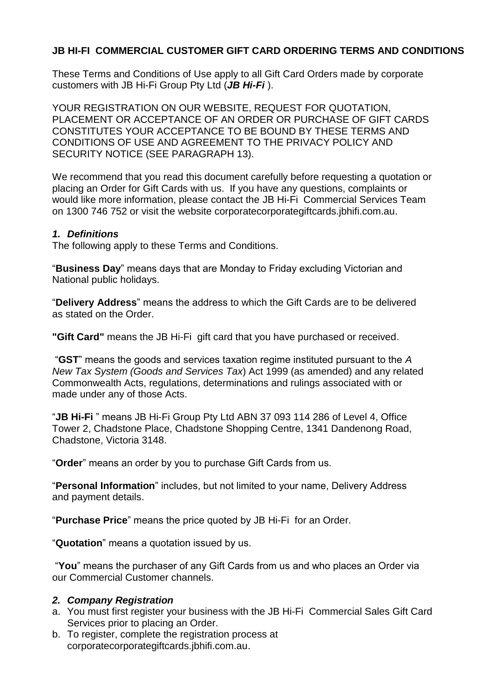### **JB HI-FI COMMERCIAL CUSTOMER GIFT CARD ORDERING TERMS AND CONDITIONS**

These Terms and Conditions of Use apply to all Gift Card Orders made by corporate customers with JB Hi-Fi Group Pty Ltd (*JB Hi-Fi* ).

YOUR REGISTRATION ON OUR WEBSITE, REQUEST FOR QUOTATION, PLACEMENT OR ACCEPTANCE OF AN ORDER OR PURCHASE OF GIFT CARDS CONSTITUTES YOUR ACCEPTANCE TO BE BOUND BY THESE TERMS AND CONDITIONS OF USE AND AGREEMENT TO THE PRIVACY POLICY AND SECURITY NOTICE (SEE PARAGRAPH 13).

We recommend that you read this document carefully before requesting a quotation or placing an Order for Gift Cards with us. If you have any questions, complaints or would like more information, please contact the JB Hi-Fi Commercial Services Team on 1300 746 752 or visit the website corporatecorporategiftcards.jbhifi.com.au.

#### *1. Definitions*

The following apply to these Terms and Conditions.

"**Business Day**" means days that are Monday to Friday excluding Victorian and National public holidays.

"**Delivery Address**" means the address to which the Gift Cards are to be delivered as stated on the Order.

**"Gift Card"** means the JB Hi-Fi gift card that you have purchased or received.

"**GST**" means the goods and services taxation regime instituted pursuant to the *A New Tax System (Goods and Services Tax*) Act 1999 (as amended) and any related Commonwealth Acts, regulations, determinations and rulings associated with or made under any of those Acts.

"**JB Hi-Fi** " means JB Hi-Fi Group Pty Ltd ABN 37 093 114 286 of Level 4, Office Tower 2, Chadstone Place, Chadstone Shopping Centre, 1341 Dandenong Road, Chadstone, Victoria 3148.

"**Order**" means an order by you to purchase Gift Cards from us.

"**Personal Information**" includes, but not limited to your name, Delivery Address and payment details.

"**Purchase Price**" means the price quoted by JB Hi-Fi for an Order.

"**Quotation**" means a quotation issued by us.

"**You**" means the purchaser of any Gift Cards from us and who places an Order via our Commercial Customer channels.

#### *2. Company Registration*

- a. You must first register your business with the JB Hi-Fi Commercial Sales Gift Card Services prior to placing an Order.
- b. To register, complete the registration process at corporatecorporategiftcards.jbhifi.com.au.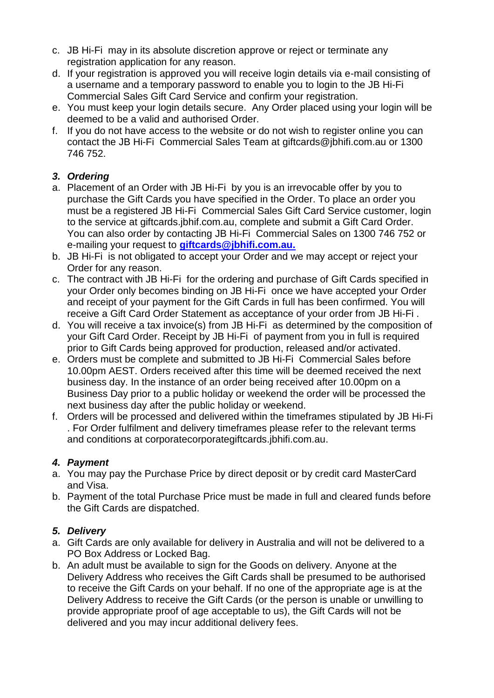- c. JB Hi-Fi may in its absolute discretion approve or reject or terminate any registration application for any reason.
- d. If your registration is approved you will receive login details via e-mail consisting of a username and a temporary password to enable you to login to the JB Hi-Fi Commercial Sales Gift Card Service and confirm your registration.
- e. You must keep your login details secure. Any Order placed using your login will be deemed to be a valid and authorised Order.
- f. If you do not have access to the website or do not wish to register online you can contact the JB Hi-Fi Commercial Sales Team at giftcards@jbhifi.com.au or 1300 746 752.

## *3. Ordering*

- a. Placement of an Order with JB Hi-Fi by you is an irrevocable offer by you to purchase the Gift Cards you have specified in the Order. To place an order you must be a registered JB Hi-Fi Commercial Sales Gift Card Service customer, login to the service at giftcards.jbhif.com.au, complete and submit a Gift Card Order. You can also order by contacting JB Hi-Fi Commercial Sales on 1300 746 752 or e-mailing your request to **[giftcards@jbhifi.com.au.](mailto:giftcards@jbhifi.com.au.)**
- b. JB Hi-Fi is not obligated to accept your Order and we may accept or reject your Order for any reason.
- c. The contract with JB Hi-Fi for the ordering and purchase of Gift Cards specified in your Order only becomes binding on JB Hi-Fi once we have accepted your Order and receipt of your payment for the Gift Cards in full has been confirmed. You will receive a Gift Card Order Statement as acceptance of your order from JB Hi-Fi .
- d. You will receive a tax invoice(s) from JB Hi-Fi as determined by the composition of your Gift Card Order. Receipt by JB Hi-Fi of payment from you in full is required prior to Gift Cards being approved for production, released and/or activated.
- e. Orders must be complete and submitted to JB Hi-Fi Commercial Sales before 10.00pm AEST. Orders received after this time will be deemed received the next business day. In the instance of an order being received after 10.00pm on a Business Day prior to a public holiday or weekend the order will be processed the next business day after the public holiday or weekend.
- f. Orders will be processed and delivered within the timeframes stipulated by JB Hi-Fi . For Order fulfilment and delivery timeframes please refer to the relevant terms and conditions at corporatecorporategiftcards.jbhifi.com.au.

# *4. Payment*

- a. You may pay the Purchase Price by direct deposit or by credit card MasterCard and Visa.
- b. Payment of the total Purchase Price must be made in full and cleared funds before the Gift Cards are dispatched.

# *5. Delivery*

- a. Gift Cards are only available for delivery in Australia and will not be delivered to a PO Box Address or Locked Bag.
- b. An adult must be available to sign for the Goods on delivery. Anyone at the Delivery Address who receives the Gift Cards shall be presumed to be authorised to receive the Gift Cards on your behalf. If no one of the appropriate age is at the Delivery Address to receive the Gift Cards (or the person is unable or unwilling to provide appropriate proof of age acceptable to us), the Gift Cards will not be delivered and you may incur additional delivery fees.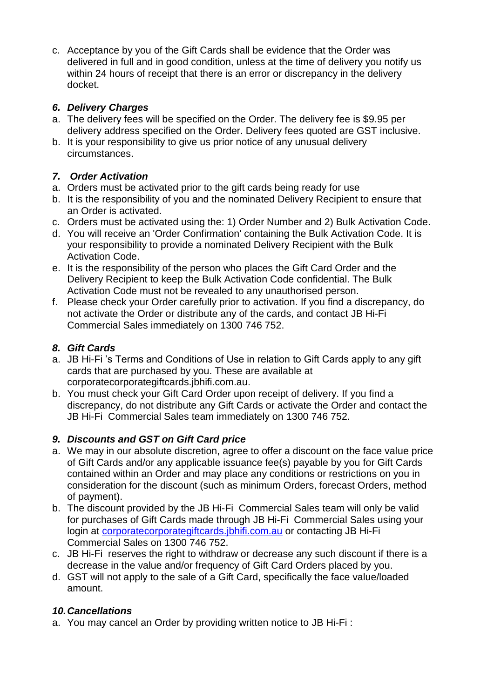c. Acceptance by you of the Gift Cards shall be evidence that the Order was delivered in full and in good condition, unless at the time of delivery you notify us within 24 hours of receipt that there is an error or discrepancy in the delivery docket.

## *6. Delivery Charges*

- a. The delivery fees will be specified on the Order. The delivery fee is \$9.95 per delivery address specified on the Order. Delivery fees quoted are GST inclusive.
- b. It is your responsibility to give us prior notice of any unusual delivery circumstances.

## *7. Order Activation*

- a. Orders must be activated prior to the gift cards being ready for use
- b. It is the responsibility of you and the nominated Delivery Recipient to ensure that an Order is activated.
- c. Orders must be activated using the: 1) Order Number and 2) Bulk Activation Code.
- d. You will receive an 'Order Confirmation' containing the Bulk Activation Code. It is your responsibility to provide a nominated Delivery Recipient with the Bulk Activation Code.
- e. It is the responsibility of the person who places the Gift Card Order and the Delivery Recipient to keep the Bulk Activation Code confidential. The Bulk Activation Code must not be revealed to any unauthorised person.
- f. Please check your Order carefully prior to activation. If you find a discrepancy, do not activate the Order or distribute any of the cards, and contact JB Hi-Fi Commercial Sales immediately on 1300 746 752.

# *8. Gift Cards*

- a. JB Hi-Fi 's Terms and Conditions of Use in relation to Gift Cards apply to any gift cards that are purchased by you. These are available at corporatecorporategiftcards.jbhifi.com.au.
- b. You must check your Gift Card Order upon receipt of delivery. If you find a discrepancy, do not distribute any Gift Cards or activate the Order and contact the JB Hi-Fi Commercial Sales team immediately on 1300 746 752.

# *9. Discounts and GST on Gift Card price*

- a. We may in our absolute discretion, agree to offer a discount on the face value price of Gift Cards and/or any applicable issuance fee(s) payable by you for Gift Cards contained within an Order and may place any conditions or restrictions on you in consideration for the discount (such as minimum Orders, forecast Orders, method of payment).
- b. The discount provided by the JB Hi-Fi Commercial Sales team will only be valid for purchases of Gift Cards made through JB Hi-Fi Commercial Sales using your login at [corporatecorporategiftcards.jbhifi.com.au](http://www.myer.com.au/corporategiftcards) or contacting JB Hi-Fi Commercial Sales on 1300 746 752.
- c. JB Hi-Fi reserves the right to withdraw or decrease any such discount if there is a decrease in the value and/or frequency of Gift Card Orders placed by you.
- d. GST will not apply to the sale of a Gift Card, specifically the face value/loaded amount.

## *10.Cancellations*

a. You may cancel an Order by providing written notice to JB Hi-Fi :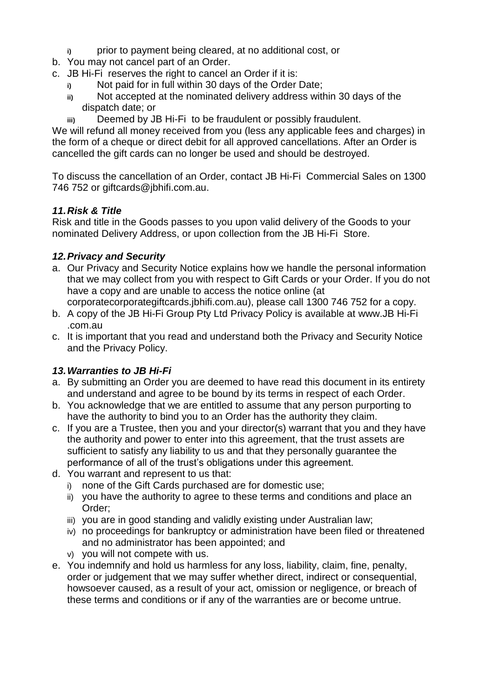- **i)** prior to payment being cleared, at no additional cost, or
- b. You may not cancel part of an Order.
- c. JB Hi-Fi reserves the right to cancel an Order if it is:
	- **i)** Not paid for in full within 30 days of the Order Date;
	- **ii)** Not accepted at the nominated delivery address within 30 days of the dispatch date; or
	- **iii)** Deemed by JB Hi-Fi to be fraudulent or possibly fraudulent.

We will refund all money received from you (less any applicable fees and charges) in the form of a cheque or direct debit for all approved cancellations. After an Order is cancelled the gift cards can no longer be used and should be destroyed.

To discuss the cancellation of an Order, contact JB Hi-Fi Commercial Sales on 1300 746 752 or giftcards@jbhifi.com.au.

## *11.Risk & Title*

Risk and title in the Goods passes to you upon valid delivery of the Goods to your nominated Delivery Address, or upon collection from the JB Hi-Fi Store.

## *12.Privacy and Security*

- a. Our Privacy and Security Notice explains how we handle the personal information that we may collect from you with respect to Gift Cards or your Order. If you do not have a copy and are unable to access the notice online (at
- corporatecorporategiftcards.jbhifi.com.au), please call 1300 746 752 for a copy. b. A copy of the JB Hi-Fi Group Pty Ltd Privacy Policy is available at [www.JB Hi-Fi](http://www.myer.com.au/default.asp?fl=true)
- [.com.au](http://www.myer.com.au/default.asp?fl=true)
- c. It is important that you read and understand both the Privacy and Security Notice and the Privacy Policy.

## *13.Warranties to JB Hi-Fi*

- a. By submitting an Order you are deemed to have read this document in its entirety and understand and agree to be bound by its terms in respect of each Order.
- b. You acknowledge that we are entitled to assume that any person purporting to have the authority to bind you to an Order has the authority they claim.
- c. If you are a Trustee, then you and your director(s) warrant that you and they have the authority and power to enter into this agreement, that the trust assets are sufficient to satisfy any liability to us and that they personally guarantee the performance of all of the trust's obligations under this agreement.
- d. You warrant and represent to us that:
	- i) none of the Gift Cards purchased are for domestic use;
	- ii) you have the authority to agree to these terms and conditions and place an Order;
	- iii) you are in good standing and validly existing under Australian law;
	- iv) no proceedings for bankruptcy or administration have been filed or threatened and no administrator has been appointed; and
	- v) you will not compete with us.
- e. You indemnify and hold us harmless for any loss, liability, claim, fine, penalty, order or judgement that we may suffer whether direct, indirect or consequential, howsoever caused, as a result of your act, omission or negligence, or breach of these terms and conditions or if any of the warranties are or become untrue.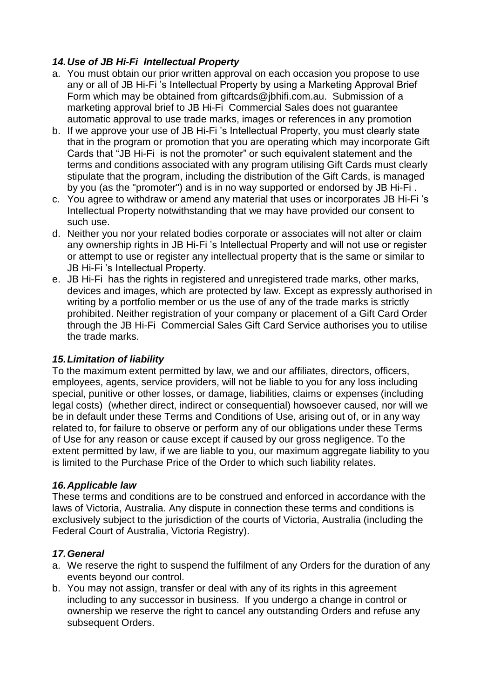## *14.Use of JB Hi-Fi Intellectual Property*

- a. You must obtain our prior written approval on each occasion you propose to use any or all of JB Hi-Fi 's Intellectual Property by using a Marketing Approval Brief Form which may be obtained from giftcards@jbhifi.com.au. Submission of a marketing approval brief to JB Hi-Fi Commercial Sales does not guarantee automatic approval to use trade marks, images or references in any promotion
- b. If we approve your use of JB Hi-Fi 's Intellectual Property, you must clearly state that in the program or promotion that you are operating which may incorporate Gift Cards that "JB Hi-Fi is not the promoter" or such equivalent statement and the terms and conditions associated with any program utilising Gift Cards must clearly stipulate that the program, including the distribution of the Gift Cards, is managed by you (as the "promoter") and is in no way supported or endorsed by JB Hi-Fi .
- c. You agree to withdraw or amend any material that uses or incorporates JB Hi-Fi 's Intellectual Property notwithstanding that we may have provided our consent to such use.
- d. Neither you nor your related bodies corporate or associates will not alter or claim any ownership rights in JB Hi-Fi 's Intellectual Property and will not use or register or attempt to use or register any intellectual property that is the same or similar to JB Hi-Fi 's Intellectual Property.
- e. JB Hi-Fi has the rights in registered and unregistered trade marks, other marks, devices and images, which are protected by law. Except as expressly authorised in writing by a portfolio member or us the use of any of the trade marks is strictly prohibited. Neither registration of your company or placement of a Gift Card Order through the JB Hi-Fi Commercial Sales Gift Card Service authorises you to utilise the trade marks.

## *15.Limitation of liability*

To the maximum extent permitted by law, we and our affiliates, directors, officers, employees, agents, service providers, will not be liable to you for any loss including special, punitive or other losses, or damage, liabilities, claims or expenses (including legal costs) (whether direct, indirect or consequential) howsoever caused, nor will we be in default under these Terms and Conditions of Use, arising out of, or in any way related to, for failure to observe or perform any of our obligations under these Terms of Use for any reason or cause except if caused by our gross negligence. To the extent permitted by law, if we are liable to you, our maximum aggregate liability to you is limited to the Purchase Price of the Order to which such liability relates.

## *16.Applicable law*

These terms and conditions are to be construed and enforced in accordance with the laws of Victoria, Australia. Any dispute in connection these terms and conditions is exclusively subject to the jurisdiction of the courts of Victoria, Australia (including the Federal Court of Australia, Victoria Registry).

## *17.General*

- a. We reserve the right to suspend the fulfilment of any Orders for the duration of any events beyond our control.
- b. You may not assign, transfer or deal with any of its rights in this agreement including to any successor in business. If you undergo a change in control or ownership we reserve the right to cancel any outstanding Orders and refuse any subsequent Orders.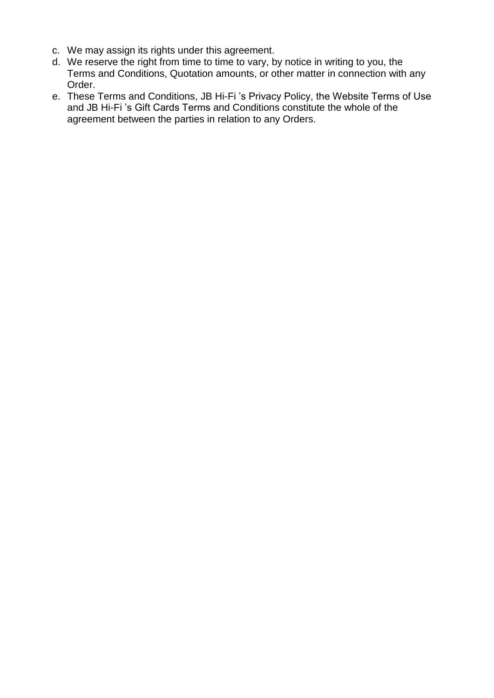- c. We may assign its rights under this agreement.
- d. We reserve the right from time to time to vary, by notice in writing to you, the Terms and Conditions, Quotation amounts, or other matter in connection with any Order.
- e. These Terms and Conditions, JB Hi-Fi 's Privacy Policy, the Website Terms of Use and JB Hi-Fi 's Gift Cards Terms and Conditions constitute the whole of the agreement between the parties in relation to any Orders.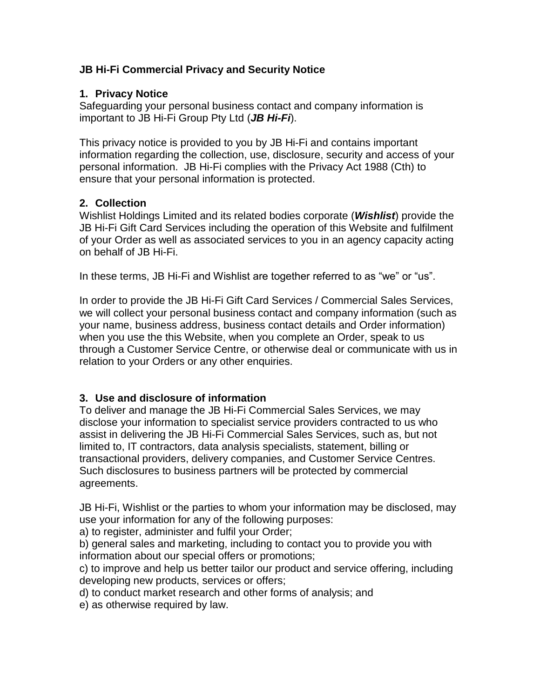### **JB Hi-Fi Commercial Privacy and Security Notice**

#### **1. Privacy Notice**

Safeguarding your personal business contact and company information is important to JB Hi-Fi Group Pty Ltd (*JB Hi-Fi*).

This privacy notice is provided to you by JB Hi-Fi and contains important information regarding the collection, use, disclosure, security and access of your personal information. JB Hi-Fi complies with the Privacy Act 1988 (Cth) to ensure that your personal information is protected.

#### **2. Collection**

Wishlist Holdings Limited and its related bodies corporate (*Wishlist*) provide the JB Hi-Fi Gift Card Services including the operation of this Website and fulfilment of your Order as well as associated services to you in an agency capacity acting on behalf of JB Hi-Fi.

In these terms, JB Hi-Fi and Wishlist are together referred to as "we" or "us".

In order to provide the JB Hi-Fi Gift Card Services / Commercial Sales Services, we will collect your personal business contact and company information (such as your name, business address, business contact details and Order information) when you use the this Website, when you complete an Order, speak to us through a Customer Service Centre, or otherwise deal or communicate with us in relation to your Orders or any other enquiries.

## **3. Use and disclosure of information**

To deliver and manage the JB Hi-Fi Commercial Sales Services, we may disclose your information to specialist service providers contracted to us who assist in delivering the JB Hi-Fi Commercial Sales Services, such as, but not limited to, IT contractors, data analysis specialists, statement, billing or transactional providers, delivery companies, and Customer Service Centres. Such disclosures to business partners will be protected by commercial agreements.

JB Hi-Fi, Wishlist or the parties to whom your information may be disclosed, may use your information for any of the following purposes:

a) to register, administer and fulfil your Order;

b) general sales and marketing, including to contact you to provide you with information about our special offers or promotions;

c) to improve and help us better tailor our product and service offering, including developing new products, services or offers;

d) to conduct market research and other forms of analysis; and

e) as otherwise required by law.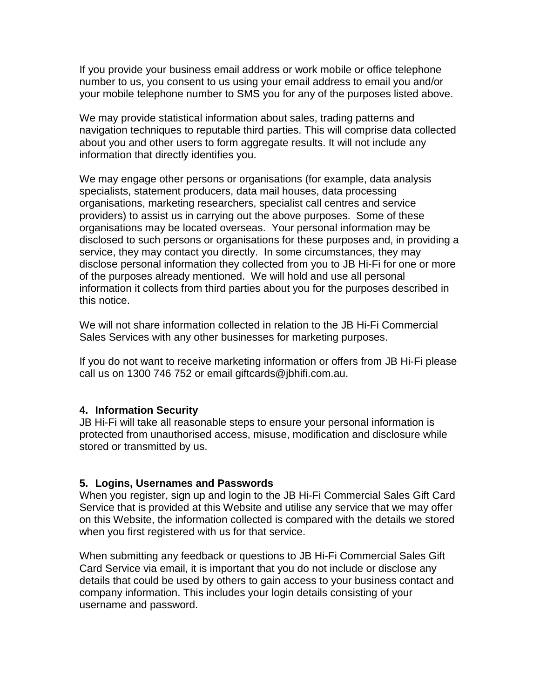If you provide your business email address or work mobile or office telephone number to us, you consent to us using your email address to email you and/or your mobile telephone number to SMS you for any of the purposes listed above.

We may provide statistical information about sales, trading patterns and navigation techniques to reputable third parties. This will comprise data collected about you and other users to form aggregate results. It will not include any information that directly identifies you.

We may engage other persons or organisations (for example, data analysis specialists, statement producers, data mail houses, data processing organisations, marketing researchers, specialist call centres and service providers) to assist us in carrying out the above purposes. Some of these organisations may be located overseas. Your personal information may be disclosed to such persons or organisations for these purposes and, in providing a service, they may contact you directly. In some circumstances, they may disclose personal information they collected from you to JB Hi-Fi for one or more of the purposes already mentioned. We will hold and use all personal information it collects from third parties about you for the purposes described in this notice.

We will not share information collected in relation to the JB Hi-Fi Commercial Sales Services with any other businesses for marketing purposes.

If you do not want to receive marketing information or offers from JB Hi-Fi please call us on 1300 746 752 or email giftcards@jbhifi.com.au.

#### **4. Information Security**

JB Hi-Fi will take all reasonable steps to ensure your personal information is protected from unauthorised access, misuse, modification and disclosure while stored or transmitted by us.

#### **5. Logins, Usernames and Passwords**

When you register, sign up and login to the JB Hi-Fi Commercial Sales Gift Card Service that is provided at this Website and utilise any service that we may offer on this Website, the information collected is compared with the details we stored when you first registered with us for that service.

When submitting any feedback or questions to JB Hi-Fi Commercial Sales Gift Card Service via email, it is important that you do not include or disclose any details that could be used by others to gain access to your business contact and company information. This includes your login details consisting of your username and password.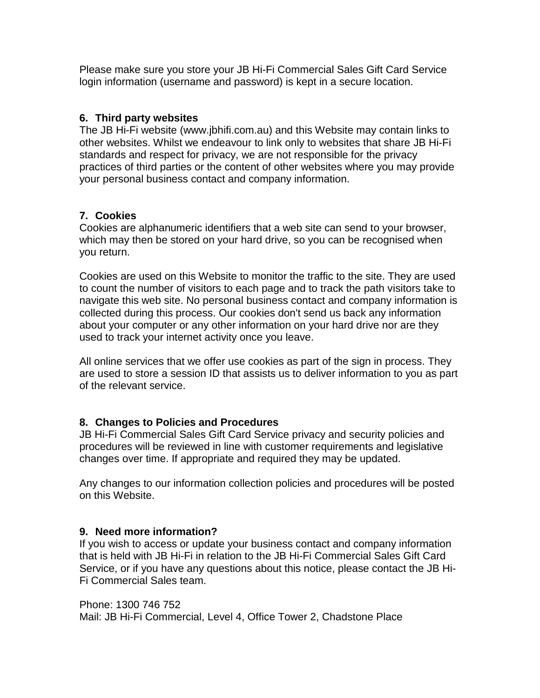Please make sure you store your JB Hi-Fi Commercial Sales Gift Card Service login information (username and password) is kept in a secure location.

#### **6. Third party websites**

The JB Hi-Fi website (www.jbhifi.com.au) and this Website may contain links to other websites. Whilst we endeavour to link only to websites that share JB Hi-Fi standards and respect for privacy, we are not responsible for the privacy practices of third parties or the content of other websites where you may provide your personal business contact and company information.

## **7. Cookies**

Cookies are alphanumeric identifiers that a web site can send to your browser, which may then be stored on your hard drive, so you can be recognised when you return.

Cookies are used on this Website to monitor the traffic to the site. They are used to count the number of visitors to each page and to track the path visitors take to navigate this web site. No personal business contact and company information is collected during this process. Our cookies don't send us back any information about your computer or any other information on your hard drive nor are they used to track your internet activity once you leave.

All online services that we offer use cookies as part of the sign in process. They are used to store a session ID that assists us to deliver information to you as part of the relevant service.

## **8. Changes to Policies and Procedures**

JB Hi-Fi Commercial Sales Gift Card Service privacy and security policies and procedures will be reviewed in line with customer requirements and legislative changes over time. If appropriate and required they may be updated.

Any changes to our information collection policies and procedures will be posted on this Website.

## **9. Need more information?**

If you wish to access or update your business contact and company information that is held with JB Hi-Fi in relation to the JB Hi-Fi Commercial Sales Gift Card Service, or if you have any questions about this notice, please contact the JB Hi-Fi Commercial Sales team.

#### Phone: 1300 746 752

Mail: JB Hi-Fi Commercial, Level 4, Office Tower 2, Chadstone Place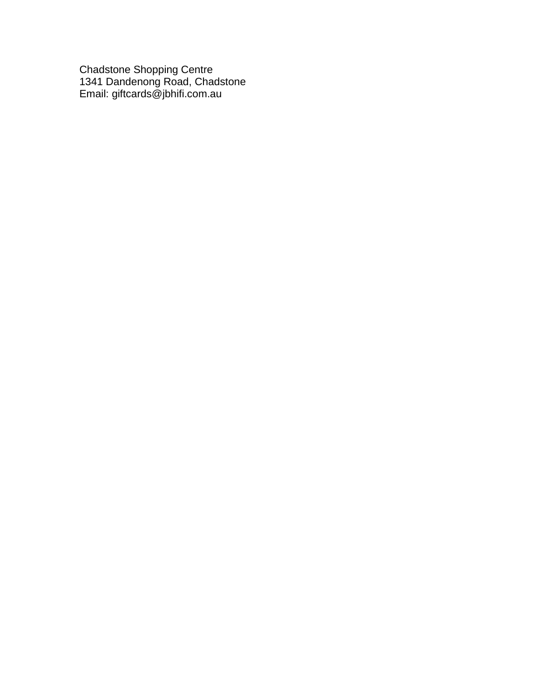Chadstone Shopping Centre 1341 Dandenong Road, Chadstone Email: giftcards@jbhifi.com.au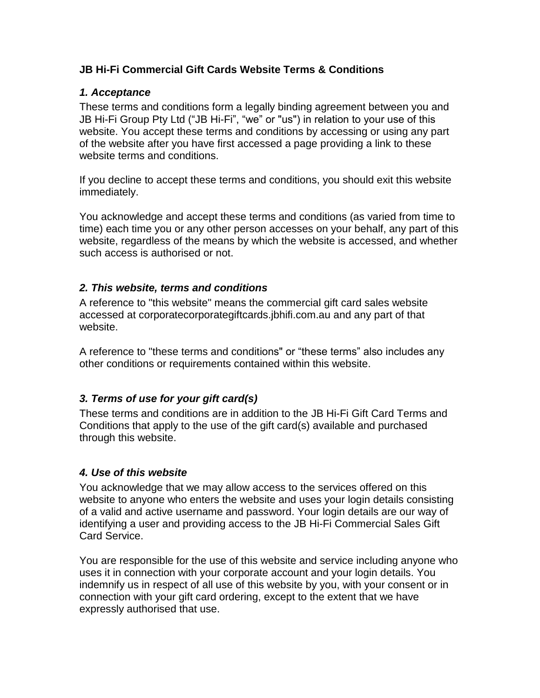### **JB Hi-Fi Commercial Gift Cards Website Terms & Conditions**

#### *1. Acceptance*

These terms and conditions form a legally binding agreement between you and JB Hi-Fi Group Pty Ltd ("JB Hi-Fi", "we" or "us") in relation to your use of this website. You accept these terms and conditions by accessing or using any part of the website after you have first accessed a page providing a link to these website terms and conditions.

If you decline to accept these terms and conditions, you should exit this website immediately.

You acknowledge and accept these terms and conditions (as varied from time to time) each time you or any other person accesses on your behalf, any part of this website, regardless of the means by which the website is accessed, and whether such access is authorised or not.

#### *2. This website, terms and conditions*

A reference to "this website" means the commercial gift card sales website accessed at corporatecorporategiftcards.jbhifi.com.au and any part of that website.

A reference to "these terms and conditions" or "these terms" also includes any other conditions or requirements contained within this website.

## *3. Terms of use for your gift card(s)*

These terms and conditions are in addition to the JB Hi-Fi Gift Card Terms and Conditions that apply to the use of the gift card(s) available and purchased through this website.

## *4. Use of this website*

You acknowledge that we may allow access to the services offered on this website to anyone who enters the website and uses your login details consisting of a valid and active username and password. Your login details are our way of identifying a user and providing access to the JB Hi-Fi Commercial Sales Gift Card Service.

You are responsible for the use of this website and service including anyone who uses it in connection with your corporate account and your login details. You indemnify us in respect of all use of this website by you, with your consent or in connection with your gift card ordering, except to the extent that we have expressly authorised that use.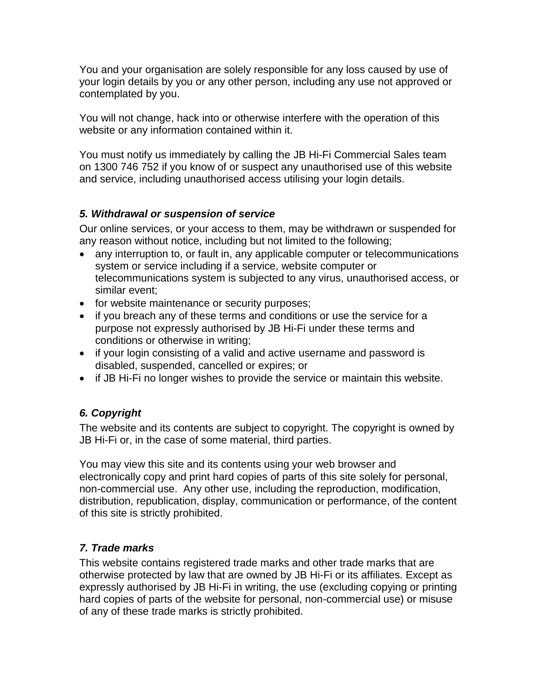You and your organisation are solely responsible for any loss caused by use of your login details by you or any other person, including any use not approved or contemplated by you.

You will not change, hack into or otherwise interfere with the operation of this website or any information contained within it.

You must notify us immediately by calling the JB Hi-Fi Commercial Sales team on 1300 746 752 if you know of or suspect any unauthorised use of this website and service, including unauthorised access utilising your login details.

## *5. Withdrawal or suspension of service*

Our online services, or your access to them, may be withdrawn or suspended for any reason without notice, including but not limited to the following;

- any interruption to, or fault in, any applicable computer or telecommunications system or service including if a service, website computer or telecommunications system is subjected to any virus, unauthorised access, or similar event;
- for website maintenance or security purposes;
- if you breach any of these terms and conditions or use the service for a purpose not expressly authorised by JB Hi-Fi under these terms and conditions or otherwise in writing;
- if your login consisting of a valid and active username and password is disabled, suspended, cancelled or expires; or
- if JB Hi-Fi no longer wishes to provide the service or maintain this website.

# *6. Copyright*

The website and its contents are subject to copyright. The copyright is owned by JB Hi-Fi or, in the case of some material, third parties.

You may view this site and its contents using your web browser and electronically copy and print hard copies of parts of this site solely for personal, non-commercial use. Any other use, including the reproduction, modification, distribution, republication, display, communication or performance, of the content of this site is strictly prohibited.

## *7. Trade marks*

This website contains registered trade marks and other trade marks that are otherwise protected by law that are owned by JB Hi-Fi or its affiliates. Except as expressly authorised by JB Hi-Fi in writing, the use (excluding copying or printing hard copies of parts of the website for personal, non-commercial use) or misuse of any of these trade marks is strictly prohibited.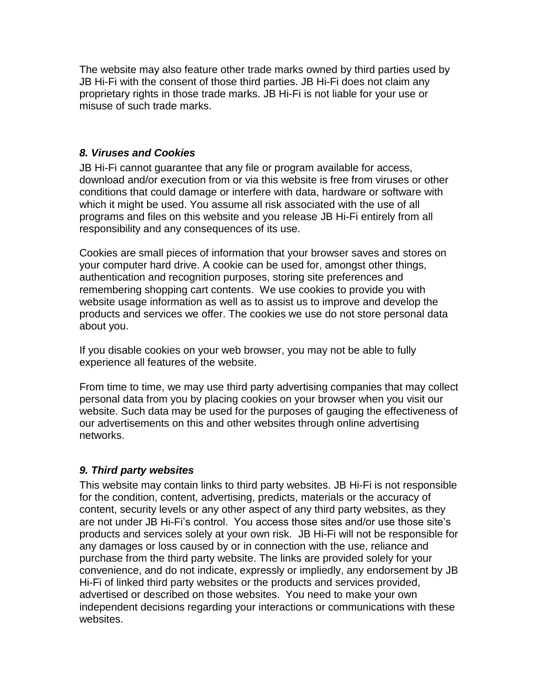The website may also feature other trade marks owned by third parties used by JB Hi-Fi with the consent of those third parties. JB Hi-Fi does not claim any proprietary rights in those trade marks. JB Hi-Fi is not liable for your use or misuse of such trade marks.

#### *8. Viruses and Cookies*

JB Hi-Fi cannot guarantee that any file or program available for access, download and/or execution from or via this website is free from viruses or other conditions that could damage or interfere with data, hardware or software with which it might be used. You assume all risk associated with the use of all programs and files on this website and you release JB Hi-Fi entirely from all responsibility and any consequences of its use.

Cookies are small pieces of information that your browser saves and stores on your computer hard drive. A cookie can be used for, amongst other things, authentication and recognition purposes, storing site preferences and remembering shopping cart contents. We use cookies to provide you with website usage information as well as to assist us to improve and develop the products and services we offer. The cookies we use do not store personal data about you.

If you disable cookies on your web browser, you may not be able to fully experience all features of the website.

From time to time, we may use third party advertising companies that may collect personal data from you by placing cookies on your browser when you visit our website. Such data may be used for the purposes of gauging the effectiveness of our advertisements on this and other websites through online advertising networks.

## *9. Third party websites*

This website may contain links to third party websites. JB Hi-Fi is not responsible for the condition, content, advertising, predicts, materials or the accuracy of content, security levels or any other aspect of any third party websites, as they are not under JB Hi-Fi's control. You access those sites and/or use those site's products and services solely at your own risk. JB Hi-Fi will not be responsible for any damages or loss caused by or in connection with the use, reliance and purchase from the third party website. The links are provided solely for your convenience, and do not indicate, expressly or impliedly, any endorsement by JB Hi-Fi of linked third party websites or the products and services provided, advertised or described on those websites. You need to make your own independent decisions regarding your interactions or communications with these websites.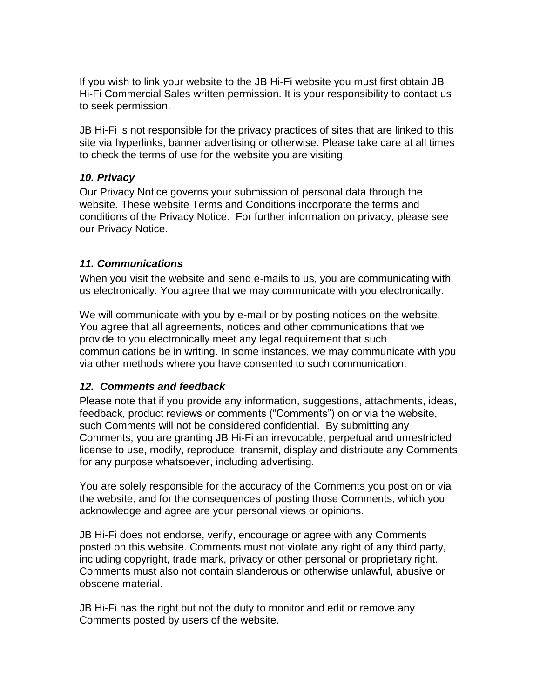If you wish to link your website to the JB Hi-Fi website you must first obtain JB Hi-Fi Commercial Sales written permission. It is your responsibility to contact us to seek permission.

JB Hi-Fi is not responsible for the privacy practices of sites that are linked to this site via hyperlinks, banner advertising or otherwise. Please take care at all times to check the terms of use for the website you are visiting.

#### *10. Privacy*

Our Privacy Notice governs your submission of personal data through the website. These website Terms and Conditions incorporate the terms and conditions of the Privacy Notice. For further information on privacy, please see our Privacy Notice.

#### *11. Communications*

When you visit the website and send e-mails to us, you are communicating with us electronically. You agree that we may communicate with you electronically.

We will communicate with you by e-mail or by posting notices on the website. You agree that all agreements, notices and other communications that we provide to you electronically meet any legal requirement that such communications be in writing. In some instances, we may communicate with you via other methods where you have consented to such communication.

## *12. Comments and feedback*

Please note that if you provide any information, suggestions, attachments, ideas, feedback, product reviews or comments ("Comments") on or via the website, such Comments will not be considered confidential. By submitting any Comments, you are granting JB Hi-Fi an irrevocable, perpetual and unrestricted license to use, modify, reproduce, transmit, display and distribute any Comments for any purpose whatsoever, including advertising.

You are solely responsible for the accuracy of the Comments you post on or via the website, and for the consequences of posting those Comments, which you acknowledge and agree are your personal views or opinions.

JB Hi-Fi does not endorse, verify, encourage or agree with any Comments posted on this website. Comments must not violate any right of any third party, including copyright, trade mark, privacy or other personal or proprietary right. Comments must also not contain slanderous or otherwise unlawful, abusive or obscene material.

JB Hi-Fi has the right but not the duty to monitor and edit or remove any Comments posted by users of the website.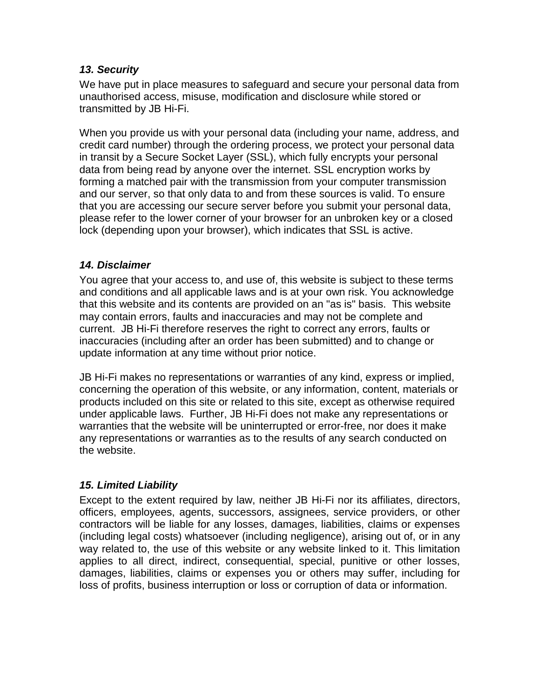#### *13. Security*

We have put in place measures to safeguard and secure your personal data from unauthorised access, misuse, modification and disclosure while stored or transmitted by JB Hi-Fi.

When you provide us with your personal data (including your name, address, and credit card number) through the ordering process, we protect your personal data in transit by a Secure Socket Layer (SSL), which fully encrypts your personal data from being read by anyone over the internet. SSL encryption works by forming a matched pair with the transmission from your computer transmission and our server, so that only data to and from these sources is valid. To ensure that you are accessing our secure server before you submit your personal data, please refer to the lower corner of your browser for an unbroken key or a closed lock (depending upon your browser), which indicates that SSL is active.

#### *14. Disclaimer*

You agree that your access to, and use of, this website is subject to these terms and conditions and all applicable laws and is at your own risk. You acknowledge that this website and its contents are provided on an "as is" basis. This website may contain errors, faults and inaccuracies and may not be complete and current. JB Hi-Fi therefore reserves the right to correct any errors, faults or inaccuracies (including after an order has been submitted) and to change or update information at any time without prior notice.

JB Hi-Fi makes no representations or warranties of any kind, express or implied, concerning the operation of this website, or any information, content, materials or products included on this site or related to this site, except as otherwise required under applicable laws. Further, JB Hi-Fi does not make any representations or warranties that the website will be uninterrupted or error-free, nor does it make any representations or warranties as to the results of any search conducted on the website.

## *15. Limited Liability*

Except to the extent required by law, neither JB Hi-Fi nor its affiliates, directors, officers, employees, agents, successors, assignees, service providers, or other contractors will be liable for any losses, damages, liabilities, claims or expenses (including legal costs) whatsoever (including negligence), arising out of, or in any way related to, the use of this website or any website linked to it. This limitation applies to all direct, indirect, consequential, special, punitive or other losses, damages, liabilities, claims or expenses you or others may suffer, including for loss of profits, business interruption or loss or corruption of data or information.